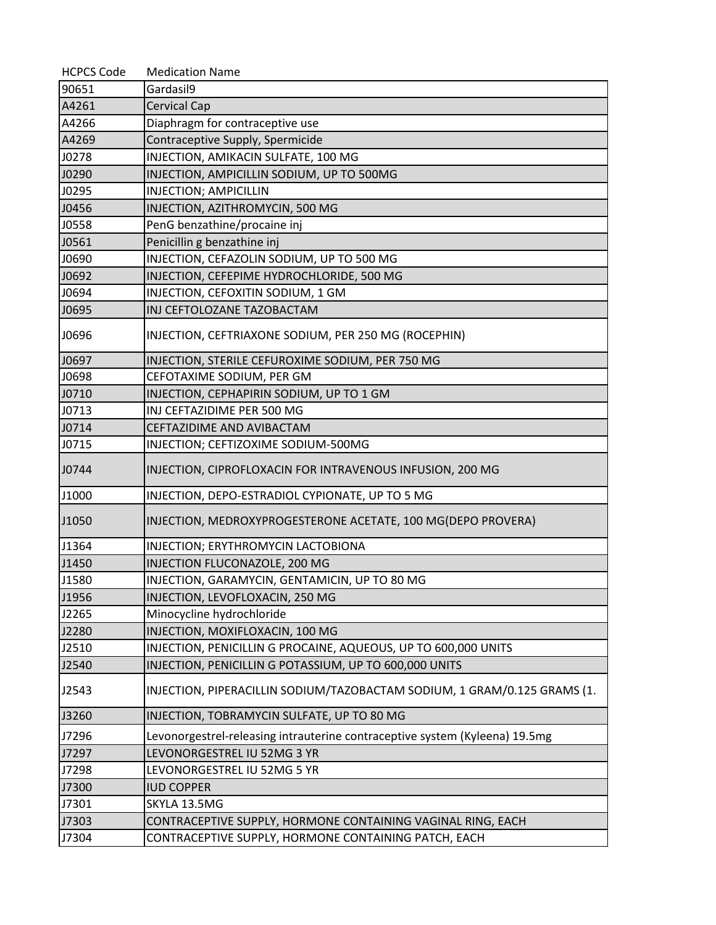| <b>HCPCS Code</b> | <b>Medication Name</b>                                                      |
|-------------------|-----------------------------------------------------------------------------|
| 90651             | Gardasil9                                                                   |
| A4261             | <b>Cervical Cap</b>                                                         |
| A4266             | Diaphragm for contraceptive use                                             |
| A4269             | Contraceptive Supply, Spermicide                                            |
| J0278             | INJECTION, AMIKACIN SULFATE, 100 MG                                         |
| J0290             | INJECTION, AMPICILLIN SODIUM, UP TO 500MG                                   |
| J0295             | <b>INJECTION; AMPICILLIN</b>                                                |
| J0456             | INJECTION, AZITHROMYCIN, 500 MG                                             |
| J0558             | PenG benzathine/procaine inj                                                |
| J0561             | Penicillin g benzathine inj                                                 |
| J0690             | INJECTION, CEFAZOLIN SODIUM, UP TO 500 MG                                   |
| J0692             | INJECTION, CEFEPIME HYDROCHLORIDE, 500 MG                                   |
| J0694             | INJECTION, CEFOXITIN SODIUM, 1 GM                                           |
| J0695             | INJ CEFTOLOZANE TAZOBACTAM                                                  |
| J0696             | INJECTION, CEFTRIAXONE SODIUM, PER 250 MG (ROCEPHIN)                        |
| J0697             | INJECTION, STERILE CEFUROXIME SODIUM, PER 750 MG                            |
| J0698             | CEFOTAXIME SODIUM, PER GM                                                   |
| J0710             | INJECTION, CEPHAPIRIN SODIUM, UP TO 1 GM                                    |
| J0713             | INJ CEFTAZIDIME PER 500 MG                                                  |
| J0714             | CEFTAZIDIME AND AVIBACTAM                                                   |
| J0715             | INJECTION; CEFTIZOXIME SODIUM-500MG                                         |
| J0744             | INJECTION, CIPROFLOXACIN FOR INTRAVENOUS INFUSION, 200 MG                   |
| J1000             | INJECTION, DEPO-ESTRADIOL CYPIONATE, UP TO 5 MG                             |
| J1050             | INJECTION, MEDROXYPROGESTERONE ACETATE, 100 MG(DEPO PROVERA)                |
| J1364             | INJECTION; ERYTHROMYCIN LACTOBIONA                                          |
| J1450             | INJECTION FLUCONAZOLE, 200 MG                                               |
| J1580             | INJECTION, GARAMYCIN, GENTAMICIN, UP TO 80 MG                               |
| J1956             | INJECTION, LEVOFLOXACIN, 250 MG                                             |
| J2265             | Minocycline hydrochloride                                                   |
| J2280             | INJECTION, MOXIFLOXACIN, 100 MG                                             |
| J2510             | INJECTION, PENICILLIN G PROCAINE, AQUEOUS, UP TO 600,000 UNITS              |
| J2540             | INJECTION, PENICILLIN G POTASSIUM, UP TO 600,000 UNITS                      |
| J2543             | INJECTION, PIPERACILLIN SODIUM/TAZOBACTAM SODIUM, 1 GRAM/0.125 GRAMS (1.    |
| J3260             | INJECTION, TOBRAMYCIN SULFATE, UP TO 80 MG                                  |
| J7296             | Levonorgestrel-releasing intrauterine contraceptive system (Kyleena) 19.5mg |
| J7297             | LEVONORGESTREL IU 52MG 3 YR                                                 |
| J7298             | LEVONORGESTREL IU 52MG 5 YR                                                 |
| J7300             | <b>IUD COPPER</b>                                                           |
| J7301             | SKYLA 13.5MG                                                                |
| J7303             | CONTRACEPTIVE SUPPLY, HORMONE CONTAINING VAGINAL RING, EACH                 |
| J7304             | CONTRACEPTIVE SUPPLY, HORMONE CONTAINING PATCH, EACH                        |